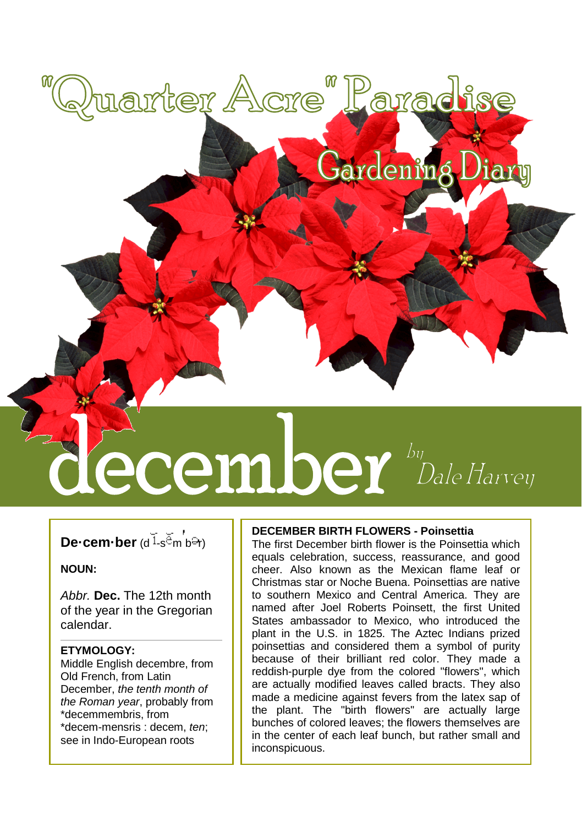# **Cecember** *Dale Harvey*

Quarter Acre" Paradise

## **De-cem-ber** (d<sup>1</sup>s<sup> $E$ </sup>m<sup>*b* $\Theta$ n)</sup>

#### **NOUN:**

*Abbr.* **Dec.** The 12th month of the year in the Gregorian calendar.

#### **ETYMOLOGY:**

Middle English decembre, from Old French, from Latin December, *the tenth month of the Roman year*, probably from \*decemmembris, from \*decem-mensris : decem, *ten*; see in Indo-European roots

#### **DECEMBER BIRTH FLOWERS - Poinsettia**

The first December birth flower is the Poinsettia which equals celebration, success, reassurance, and good cheer. Also known as the Mexican flame leaf or Christmas star or Noche Buena. Poinsettias are native to southern Mexico and Central America. They are named after Joel Roberts Poinsett, the first United States ambassador to Mexico, who introduced the plant in the U.S. in 1825. The Aztec Indians prized poinsettias and considered them a symbol of purity because of their brilliant red color. They made a reddish-purple dye from the colored "flowers", which are actually modified leaves called bracts. They also made a medicine against fevers from the latex sap of the plant. The "birth flowers" are actually large bunches of colored leaves; the flowers themselves are in the center of each leaf bunch, but rather small and inconspicuous.

Gardening Diary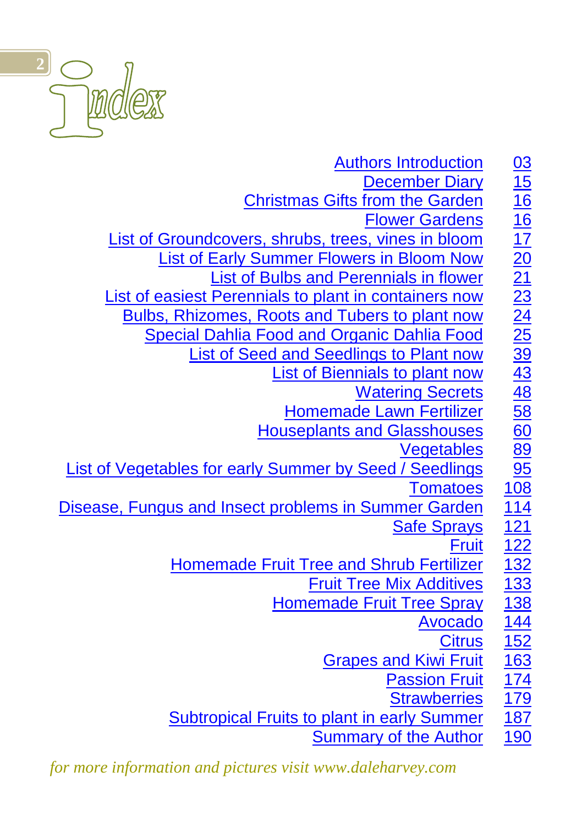

| <b>Authors Introduction</b>                                    |                   |
|----------------------------------------------------------------|-------------------|
| <b>December Diary</b>                                          |                   |
| <b>Christmas Gifts from the Garden</b>                         |                   |
| <b>Flower Gardens</b>                                          |                   |
| List of Groundcovers, shrubs, trees, vines in bloom            |                   |
| <b>List of Early Summer Flowers in Bloom Now</b>               |                   |
| <b>List of Bulbs and Perennials in flower</b>                  |                   |
| List of easiest Perennials to plant in containers now          |                   |
| Bulbs, Rhizomes, Roots and Tubers to plant now                 |                   |
| <b>Special Dahlia Food and Organic Dahlia Food</b>             |                   |
| <b>List of Seed and Seedlings to Plant now</b>                 |                   |
| <b>List of Biennials to plant now</b>                          |                   |
| <b>Watering Secrets</b>                                        |                   |
| <b>Homemade Lawn Fertilizer</b>                                |                   |
| <b>Houseplants and Glasshouses</b>                             |                   |
| Vegetables                                                     |                   |
| <b>List of Vegetables for early Summer by Seed / Seedlings</b> |                   |
| <b>Tomatoes</b>                                                |                   |
| Disease, Fungus and Insect problems in Summer Garden           | <u>114</u>        |
| <b>Safe Sprays</b>                                             | $\overline{121}$  |
| <b>Fruit</b>                                                   | $\frac{122}{132}$ |
| <b>Homemade Fruit Tree and Shrub Fertilizer</b>                |                   |
| <b>Fruit Tree Mix Additives</b>                                | <u>133</u>        |
| <b>Homemade Fruit Tree Spray</b>                               | <u>138</u>        |
| <b>Avocado</b>                                                 | <u>144</u>        |
| <b>Citrus</b>                                                  | $\overline{152}$  |
| <b>Grapes and Kiwi Fruit</b>                                   | $\overline{163}$  |
| <b>Passion Fruit</b>                                           | <u>174</u>        |
| <b>Strawberries</b>                                            | <u>179</u>        |
| <b>Subtropical Fruits to plant in early Summer</b>             | <u>187</u>        |
| <b>Summary of the Author</b>                                   | <u>190</u>        |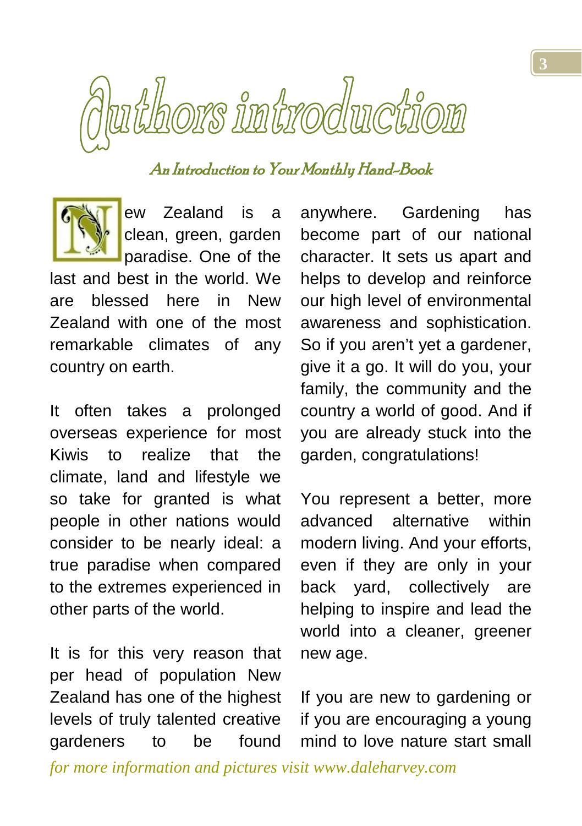<span id="page-2-0"></span>

# An Introduction to Your Monthly Hand-Book

ew Zealand is a clean, green, garden paradise. One of the

last and best in the world. We are blessed here in New Zealand with one of the most remarkable climates of any country on earth.

It often takes a prolonged overseas experience for most Kiwis to realize that the climate, land and lifestyle we so take for granted is what people in other nations would consider to be nearly ideal: a true paradise when compared to the extremes experienced in other parts of the world.

It is for this very reason that per head of population New Zealand has one of the highest levels of truly talented creative gardeners to be found anywhere. Gardening has become part of our national character. It sets us apart and helps to develop and reinforce our high level of environmental awareness and sophistication. So if you aren't yet a gardener, give it a go. It will do you, your family, the community and the country a world of good. And if you are already stuck into the garden, congratulations!

You represent a better, more advanced alternative within modern living. And your efforts, even if they are only in your back yard, collectively are helping to inspire and lead the world into a cleaner, greener new age.

If you are new to gardening or if you are encouraging a young mind to love nature start small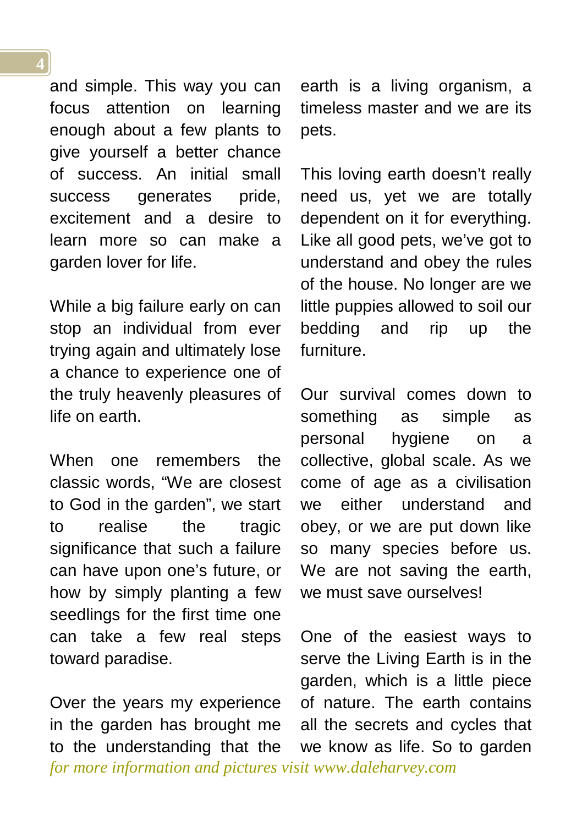and simple. This way you can focus attention on learning enough about a few plants to give yourself a better chance of success. An initial small success generates pride, excitement and a desire to learn more so can make a garden lover for life.

While a big failure early on can stop an individual from ever trying again and ultimately lose a chance to experience one of the truly heavenly pleasures of life on earth.

When one remembers the classic words, "We are closest to God in the garden", we start to realise the tragic significance that such a failure can have upon one's future, or how by simply planting a few seedlings for the first time one can take a few real steps toward paradise.

*for more information and pictures visit www.daleharvey.com* Over the years my experience in the garden has brought me to the understanding that the

earth is a living organism, a timeless master and we are its pets.

This loving earth doesn't really need us, yet we are totally dependent on it for everything. Like all good pets, we've got to understand and obey the rules of the house. No longer are we little puppies allowed to soil our bedding and rip up the furniture.

Our survival comes down to something as simple as personal hygiene on a collective, global scale. As we come of age as a civilisation we either understand and obey, or we are put down like so many species before us. We are not saving the earth, we must save ourselves!

One of the easiest ways to serve the Living Earth is in the garden, which is a little piece of nature. The earth contains all the secrets and cycles that we know as life. So to garden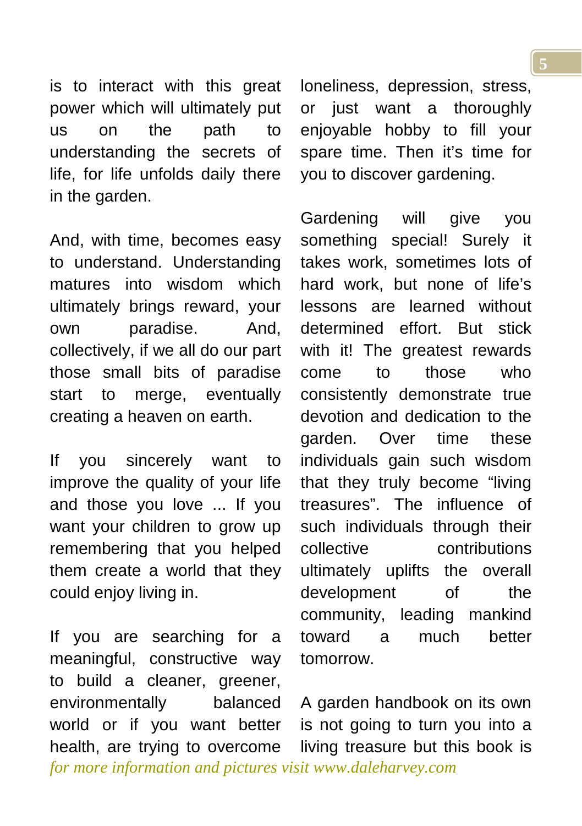is to interact with this great power which will ultimately put us on the path to understanding the secrets of life, for life unfolds daily there in the garden.

And, with time, becomes easy to understand. Understanding matures into wisdom which ultimately brings reward, your own paradise. And, collectively, if we all do our part those small bits of paradise start to merge, eventually creating a heaven on earth.

If you sincerely want to improve the quality of your life and those you love ... If you want your children to grow up remembering that you helped them create a world that they could enjoy living in.

*for more information and pictures visit www.daleharvey.com* If you are searching for a meaningful, constructive way to build a cleaner, greener, environmentally balanced world or if you want better health, are trying to overcome

loneliness, depression, stress, or just want a thoroughly enjoyable hobby to fill your spare time. Then it's time for you to discover gardening.

Gardening will give you something special! Surely it takes work, sometimes lots of hard work, but none of life's lessons are learned without determined effort. But stick with it! The greatest rewards come to those who consistently demonstrate true devotion and dedication to the garden. Over time these individuals gain such wisdom that they truly become "living treasures". The influence of such individuals through their collective contributions ultimately uplifts the overall development of the community, leading mankind toward a much better tomorrow.

A garden handbook on its own is not going to turn you into a living treasure but this book is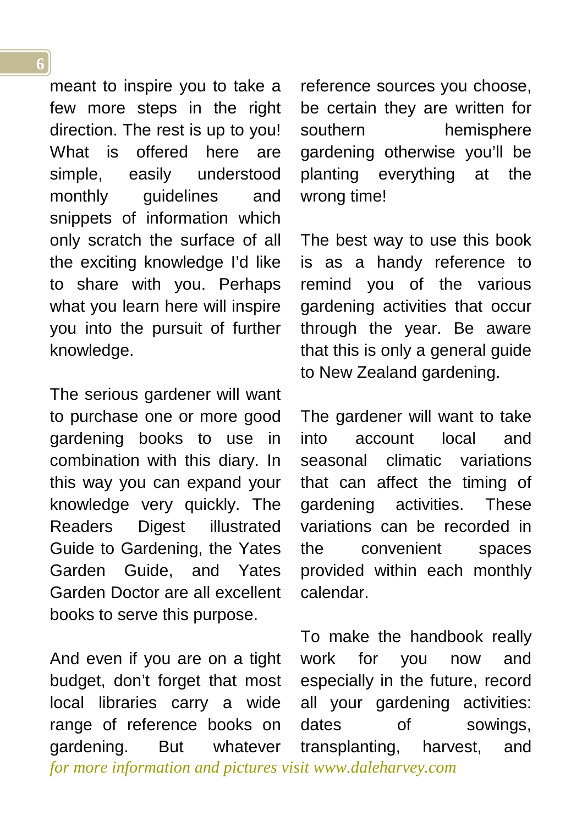meant to inspire you to take a few more steps in the right direction. The rest is up to you! What is offered here are simple, easily understood monthly guidelines and snippets of information which only scratch the surface of all the exciting knowledge I'd like to share with you. Perhaps what you learn here will inspire you into the pursuit of further knowledge.

The serious gardener will want to purchase one or more good gardening books to use in combination with this diary. In this way you can expand your knowledge very quickly. The Readers Digest illustrated Guide to Gardening, the Yates Garden Guide, and Yates Garden Doctor are all excellent books to serve this purpose.

*for more information and pictures visit www.daleharvey.com* And even if you are on a tight budget, don't forget that most local libraries carry a wide range of reference books on gardening. But whatever

reference sources you choose, be certain they are written for southern hemisphere gardening otherwise you'll be planting everything at the wrong time!

The best way to use this book is as a handy reference to remind you of the various gardening activities that occur through the year. Be aware that this is only a general guide to New Zealand gardening.

The gardener will want to take into account local and seasonal climatic variations that can affect the timing of gardening activities. These variations can be recorded in the convenient spaces provided within each monthly calendar.

To make the handbook really work for you now and especially in the future, record all your gardening activities: dates of sowings, transplanting, harvest, and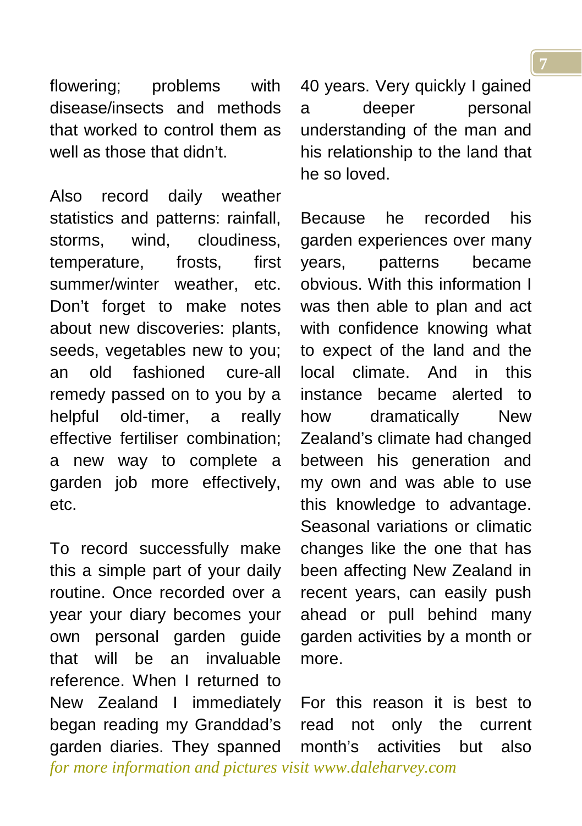flowering; problems with disease/insects and methods that worked to control them as well as those that didn't.

Also record daily weather statistics and patterns: rainfall, storms, wind, cloudiness, temperature, frosts, first summer/winter weather, etc. Don't forget to make notes about new discoveries: plants, seeds, vegetables new to you; an old fashioned cure-all remedy passed on to you by a helpful old-timer, a really effective fertiliser combination; a new way to complete a garden job more effectively, etc.

*for more information and pictures visit www.daleharvey.com* To record successfully make this a simple part of your daily routine. Once recorded over a year your diary becomes your own personal garden guide that will be an invaluable reference. When I returned to New Zealand I immediately began reading my Granddad's garden diaries. They spanned

40 years. Very quickly I gained a deeper personal understanding of the man and his relationship to the land that he so loved.

Because he recorded his garden experiences over many years, patterns became obvious. With this information I was then able to plan and act with confidence knowing what to expect of the land and the local climate. And in this instance became alerted to how dramatically New Zealand's climate had changed between his generation and my own and was able to use this knowledge to advantage. Seasonal variations or climatic changes like the one that has been affecting New Zealand in recent years, can easily push ahead or pull behind many garden activities by a month or more.

For this reason it is best to read not only the current month's activities but also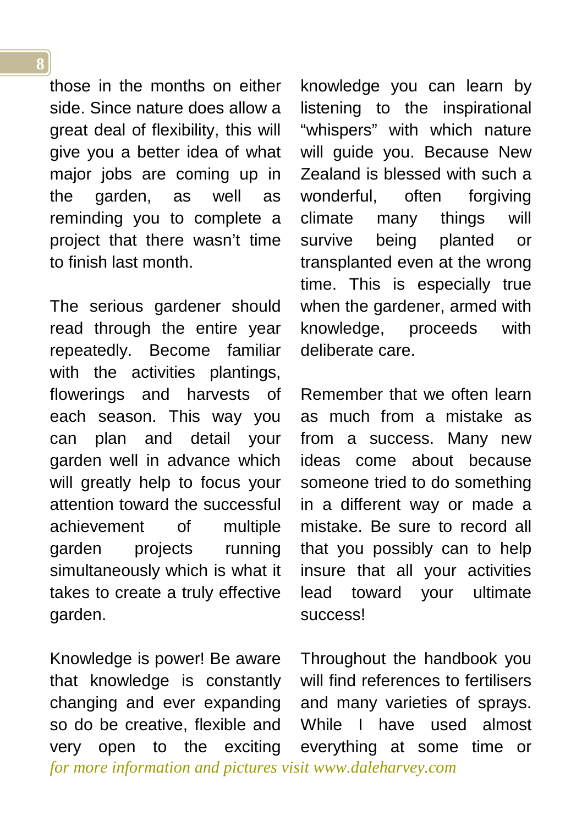those in the months on either side. Since nature does allow a great deal of flexibility, this will give you a better idea of what major jobs are coming up in the garden, as well as reminding you to complete a project that there wasn't time to finish last month.

The serious gardener should read through the entire year repeatedly. Become familiar with the activities plantings, flowerings and harvests of each season. This way you can plan and detail your garden well in advance which will greatly help to focus your attention toward the successful achievement of multiple garden projects running simultaneously which is what it takes to create a truly effective garden.

*for more information and pictures visit www.daleharvey.com* Knowledge is power! Be aware that knowledge is constantly changing and ever expanding so do be creative, flexible and very open to the exciting

knowledge you can learn by listening to the inspirational "whispers" with which nature will guide you. Because New Zealand is blessed with such a wonderful, often forgiving climate many things will survive being planted or transplanted even at the wrong time. This is especially true when the gardener, armed with knowledge, proceeds with deliberate care.

Remember that we often learn as much from a mistake as from a success. Many new ideas come about because someone tried to do something in a different way or made a mistake. Be sure to record all that you possibly can to help insure that all your activities lead toward your ultimate success!

Throughout the handbook you will find references to fertilisers and many varieties of sprays. While I have used almost everything at some time or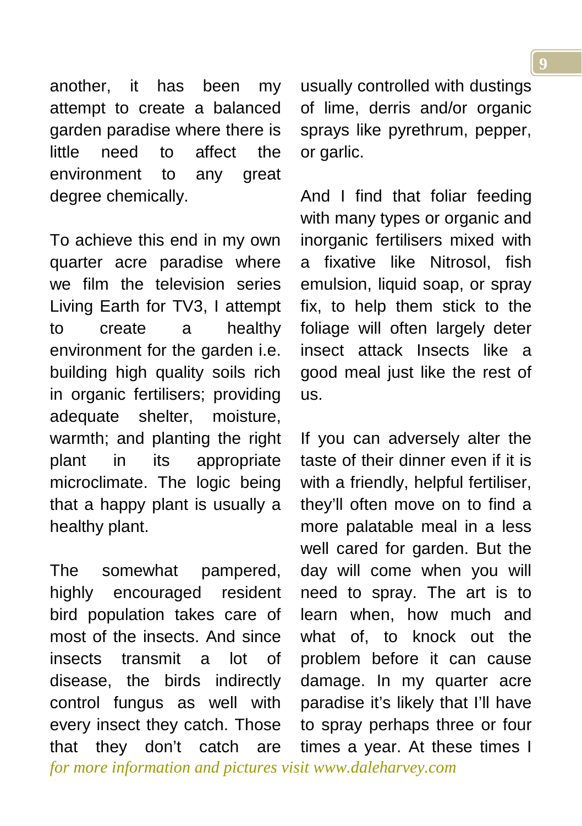another, it has been my attempt to create a balanced garden paradise where there is little need to affect the environment to any great degree chemically.

To achieve this end in my own quarter acre paradise where we film the television series Living Earth for TV3, I attempt to create a healthy environment for the garden i.e. building high quality soils rich in organic fertilisers; providing adequate shelter, moisture, warmth; and planting the right plant in its appropriate microclimate. The logic being that a happy plant is usually a healthy plant.

The somewhat pampered, highly encouraged resident bird population takes care of most of the insects. And since insects transmit a lot of disease, the birds indirectly control fungus as well with every insect they catch. Those that they don't catch are

usually controlled with dustings of lime, derris and/or organic sprays like pyrethrum, pepper, or garlic.

And I find that foliar feeding with many types or organic and inorganic fertilisers mixed with a fixative like Nitrosol, fish emulsion, liquid soap, or spray fix, to help them stick to the foliage will often largely deter insect attack Insects like a good meal just like the rest of us.

If you can adversely alter the taste of their dinner even if it is with a friendly, helpful fertiliser, they'll often move on to find a more palatable meal in a less well cared for garden. But the day will come when you will need to spray. The art is to learn when, how much and what of, to knock out the problem before it can cause damage. In my quarter acre paradise it's likely that I'll have to spray perhaps three or four times a year. At these times I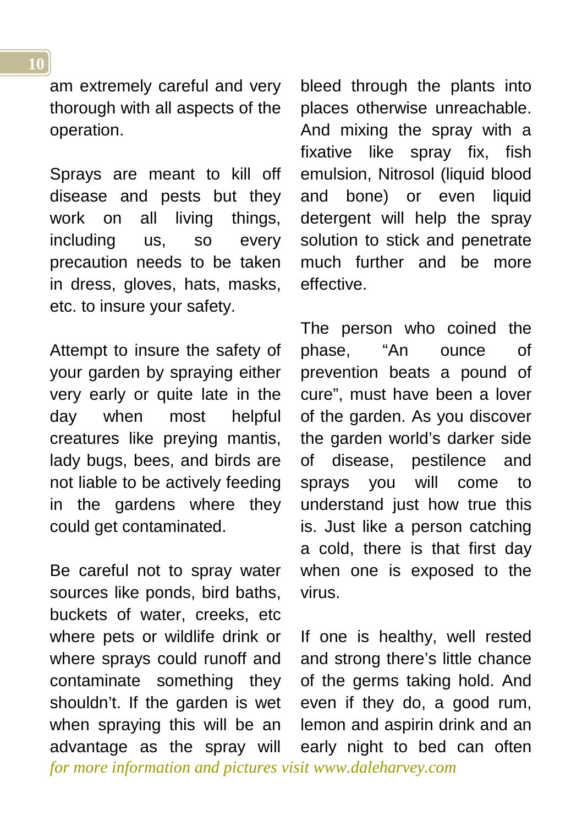am extremely careful and very thorough with all aspects of the operation.

Sprays are meant to kill off disease and pests but they work on all living things, including us, so every precaution needs to be taken in dress, gloves, hats, masks, etc. to insure your safety.

Attempt to insure the safety of your garden by spraying either very early or quite late in the day when most helpful creatures like preying mantis, lady bugs, bees, and birds are not liable to be actively feeding in the gardens where they could get contaminated.

*for more information and pictures visit www.daleharvey.com* Be careful not to spray water sources like ponds, bird baths, buckets of water, creeks, etc where pets or wildlife drink or where sprays could runoff and contaminate something they shouldn't. If the garden is wet when spraying this will be an advantage as the spray will

bleed through the plants into places otherwise unreachable. And mixing the spray with a fixative like spray fix, fish emulsion, Nitrosol (liquid blood and bone) or even liquid detergent will help the spray solution to stick and penetrate much further and be more effective.

The person who coined the phase, "An ounce of prevention beats a pound of cure", must have been a lover of the garden. As you discover the garden world's darker side of disease, pestilence and sprays you will come to understand just how true this is. Just like a person catching a cold, there is that first day when one is exposed to the virus.

If one is healthy, well rested and strong there's little chance of the germs taking hold. And even if they do, a good rum, lemon and aspirin drink and an early night to bed can often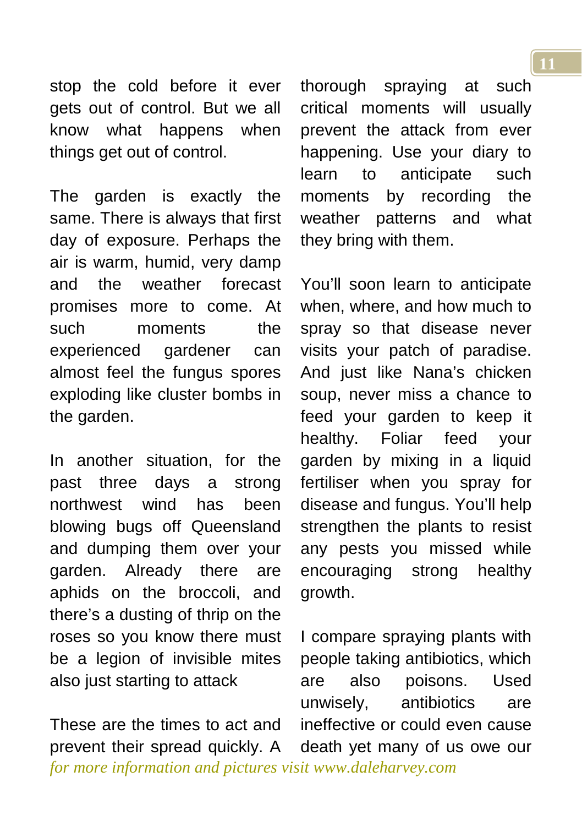stop the cold before it ever gets out of control. But we all know what happens when things get out of control.

The garden is exactly the same. There is always that first day of exposure. Perhaps the air is warm, humid, very damp and the weather forecast promises more to come. At such moments the experienced gardener can almost feel the fungus spores exploding like cluster bombs in the garden.

In another situation, for the past three days a strong northwest wind has been blowing bugs off Queensland and dumping them over your garden. Already there are aphids on the broccoli, and there's a dusting of thrip on the roses so you know there must be a legion of invisible mites also just starting to attack

*for more information and pictures visit www.daleharvey.com* These are the times to act and prevent their spread quickly. A

thorough spraying at such critical moments will usually prevent the attack from ever happening. Use your diary to learn to anticipate such moments by recording the weather patterns and what they bring with them.

You'll soon learn to anticipate when, where, and how much to spray so that disease never visits your patch of paradise. And just like Nana's chicken soup, never miss a chance to feed your garden to keep it healthy. Foliar feed your garden by mixing in a liquid fertiliser when you spray for disease and fungus. You'll help strengthen the plants to resist any pests you missed while encouraging strong healthy growth.

I compare spraying plants with people taking antibiotics, which are also poisons. Used unwisely, antibiotics are ineffective or could even cause death yet many of us owe our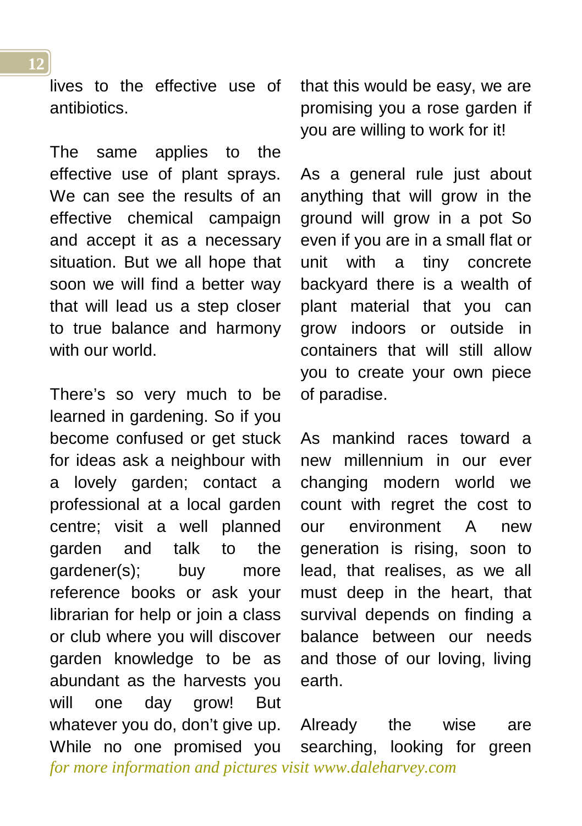lives to the effective use of antibiotics.

The same applies to the effective use of plant sprays. We can see the results of an effective chemical campaign and accept it as a necessary situation. But we all hope that soon we will find a better way that will lead us a step closer to true balance and harmony with our world.

*for more information and pictures visit www.daleharvey.com* There's so very much to be learned in gardening. So if you become confused or get stuck for ideas ask a neighbour with a lovely garden; contact a professional at a local garden centre; visit a well planned garden and talk to the gardener(s); buy more reference books or ask your librarian for help or join a class or club where you will discover garden knowledge to be as abundant as the harvests you will one day grow! But whatever you do, don't give up. While no one promised you

that this would be easy, we are promising you a rose garden if you are willing to work for it!

As a general rule just about anything that will grow in the ground will grow in a pot So even if you are in a small flat or unit with a tiny concrete backyard there is a wealth of plant material that you can grow indoors or outside in containers that will still allow you to create your own piece of paradise.

As mankind races toward a new millennium in our ever changing modern world we count with regret the cost to our environment A new generation is rising, soon to lead, that realises, as we all must deep in the heart, that survival depends on finding a balance between our needs and those of our loving, living earth.

Already the wise are searching, looking for green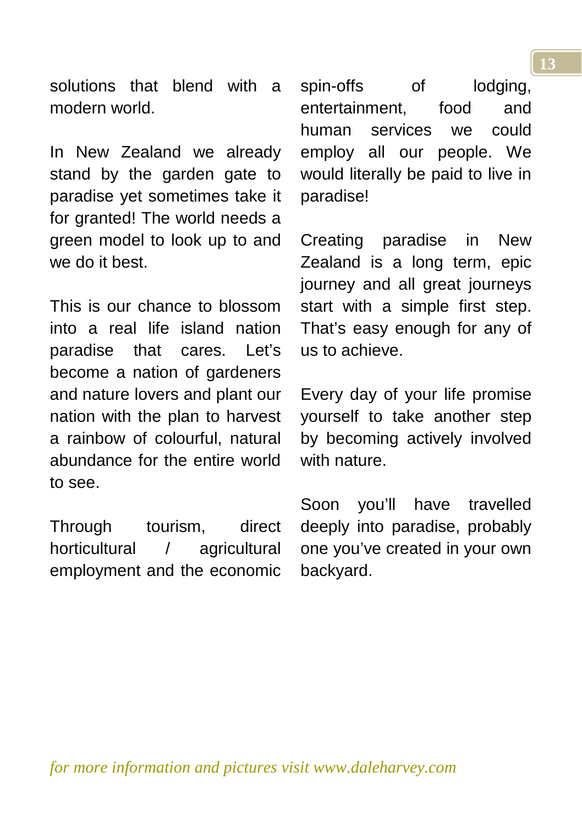solutions that blend with a modern world.

In New Zealand we already stand by the garden gate to paradise yet sometimes take it for granted! The world needs a green model to look up to and we do it best.

This is our chance to blossom into a real life island nation paradise that cares. Let's become a nation of gardeners and nature lovers and plant our nation with the plan to harvest a rainbow of colourful, natural abundance for the entire world to see.

Through tourism, direct horticultural / agricultural employment and the economic spin-offs of lodging, entertainment food and human services we could employ all our people. We would literally be paid to live in paradise!

Creating paradise in New Zealand is a long term, epic journey and all great journeys start with a simple first step. That's easy enough for any of us to achieve.

Every day of your life promise yourself to take another step by becoming actively involved with nature.

Soon you'll have travelled deeply into paradise, probably one you've created in your own backyard.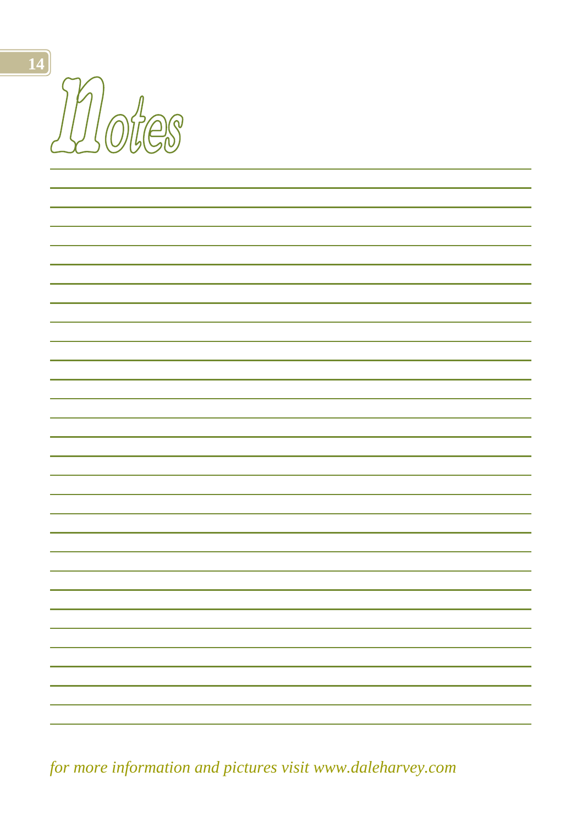Motes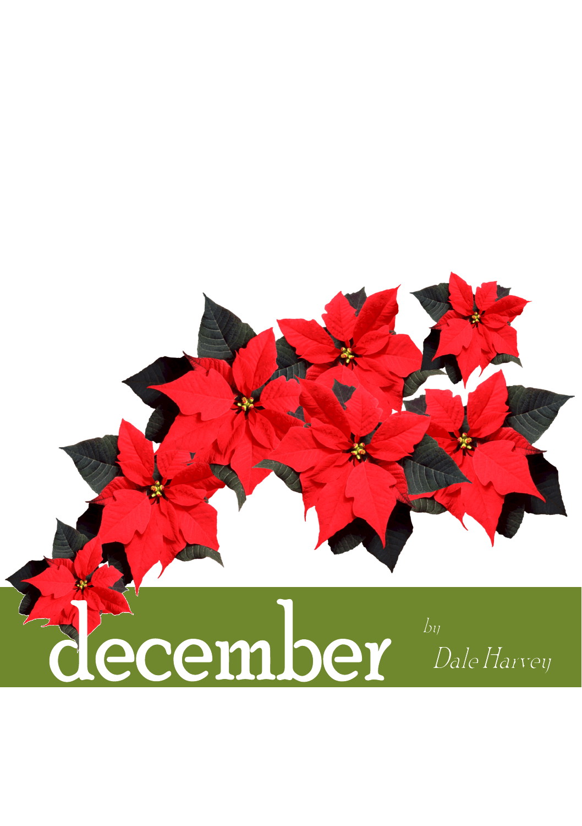<span id="page-14-0"></span>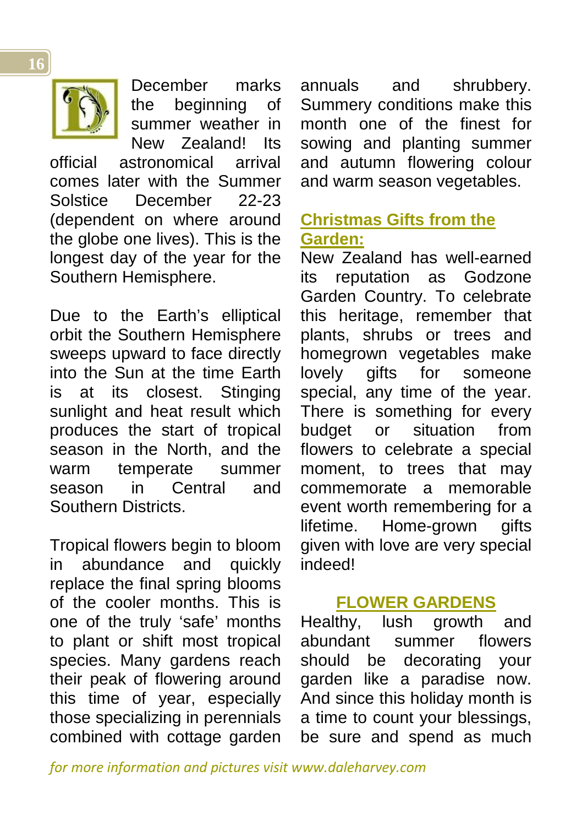

December marks the beginning of summer weather in New Zealand! Its

official astronomical arrival comes later with the Summer Solstice December 22-23 (dependent on where around the globe one lives). This is the longest day of the year for the Southern Hemisphere.

Due to the Earth's elliptical orbit the Southern Hemisphere sweeps upward to face directly into the Sun at the time Earth is at its closest. Stinging sunlight and heat result which produces the start of tropical season in the North, and the warm temperate summer season in Central and Southern Districts.

Tropical flowers begin to bloom in abundance and quickly replace the final spring blooms of the cooler months. This is one of the truly 'safe' months to plant or shift most tropical species. Many gardens reach their peak of flowering around this time of year, especially those specializing in perennials combined with cottage garden annuals and shrubbery. Summery conditions make this month one of the finest for sowing and planting summer and autumn flowering colour and warm season vegetables.

#### <span id="page-15-0"></span>**Christmas Gifts from the Garden:**

New Zealand has well-earned its reputation as Godzone Garden Country. To celebrate this heritage, remember that plants, shrubs or trees and homegrown vegetables make lovely gifts for someone special, any time of the year. There is something for every budget or situation from flowers to celebrate a special moment, to trees that may commemorate a memorable event worth remembering for a lifetime. Home-grown gifts given with love are very special indeed!

### **FLOWER GARDENS**

Healthy, lush growth and abundant summer flowers should be decorating your garden like a paradise now. And since this holiday month is a time to count your blessings, be sure and spend as much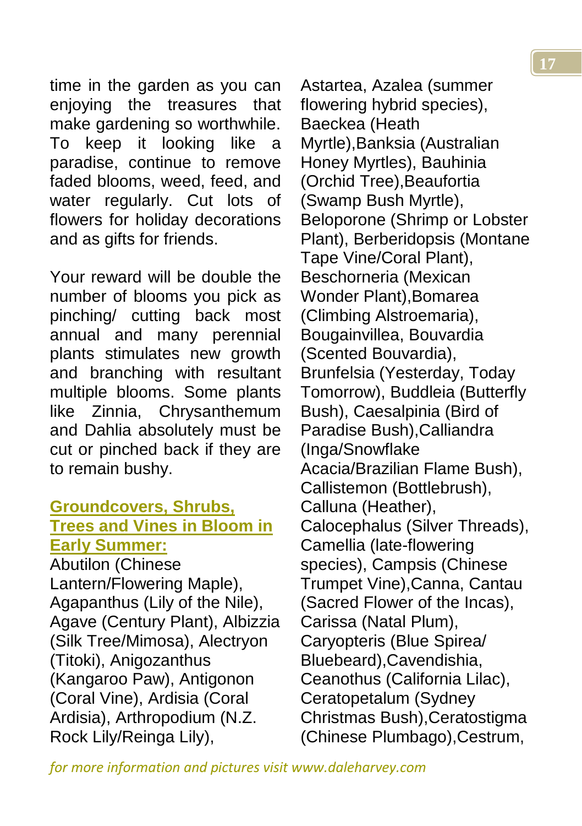**17**

time in the garden as you can enjoying the treasures that make gardening so worthwhile. To keep it looking like a paradise, continue to remove faded blooms, weed, feed, and water regularly. Cut lots of flowers for holiday decorations and as gifts for friends.

Your reward will be double the number of blooms you pick as pinching/ cutting back most annual and many perennial plants stimulates new growth and branching with resultant multiple blooms. Some plants like Zinnia, Chrysanthemum and Dahlia absolutely must be cut or pinched back if they are to remain bushy.

#### <span id="page-16-0"></span>**Groundcovers, Shrubs, Trees and Vines in Bloom in Early Summer:**

Abutilon (Chinese Lantern/Flowering Maple), Agapanthus (Lily of the Nile), Agave (Century Plant), Albizzia (Silk Tree/Mimosa), Alectryon (Titoki), Anigozanthus (Kangaroo Paw), Antigonon (Coral Vine), Ardisia (Coral Ardisia), Arthropodium (N.Z. Rock Lily/Reinga Lily),

Astartea, Azalea (summer flowering hybrid species), Baeckea (Heath Myrtle),Banksia (Australian Honey Myrtles), Bauhinia (Orchid Tree),Beaufortia (Swamp Bush Myrtle), Beloporone (Shrimp or Lobster Plant), Berberidopsis (Montane Tape Vine/Coral Plant), Beschorneria (Mexican Wonder Plant),Bomarea (Climbing Alstroemaria), Bougainvillea, Bouvardia (Scented Bouvardia), Brunfelsia (Yesterday, Today Tomorrow), Buddleia (Butterfly Bush), Caesalpinia (Bird of Paradise Bush),Calliandra (Inga/Snowflake Acacia/Brazilian Flame Bush), Callistemon (Bottlebrush), Calluna (Heather), Calocephalus (Silver Threads), Camellia (late-flowering species), Campsis (Chinese Trumpet Vine),Canna, Cantau (Sacred Flower of the Incas), Carissa (Natal Plum), Caryopteris (Blue Spirea/ Bluebeard),Cavendishia, Ceanothus (California Lilac), Ceratopetalum (Sydney Christmas Bush),Ceratostigma (Chinese Plumbago),Cestrum,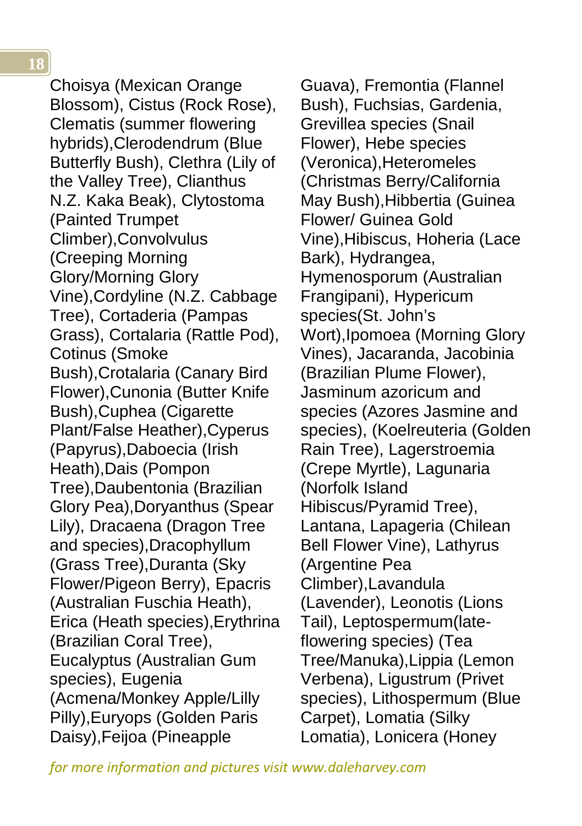Choisya (Mexican Orange Blossom), Cistus (Rock Rose), Clematis (summer flowering hybrids),Clerodendrum (Blue Butterfly Bush), Clethra (Lily of the Valley Tree), Clianthus N.Z. Kaka Beak), Clytostoma (Painted Trumpet Climber),Convolvulus (Creeping Morning Glory/Morning Glory Vine),Cordyline (N.Z. Cabbage Tree), Cortaderia (Pampas Grass), Cortalaria (Rattle Pod), Cotinus (Smoke Bush),Crotalaria (Canary Bird Flower),Cunonia (Butter Knife Bush),Cuphea (Cigarette Plant/False Heather),Cyperus (Papyrus),Daboecia (Irish Heath),Dais (Pompon Tree),Daubentonia (Brazilian Glory Pea),Doryanthus (Spear Lily), Dracaena (Dragon Tree and species),Dracophyllum (Grass Tree),Duranta (Sky Flower/Pigeon Berry), Epacris (Australian Fuschia Heath), Erica (Heath species),Erythrina (Brazilian Coral Tree), Eucalyptus (Australian Gum species), Eugenia (Acmena/Monkey Apple/Lilly Pilly),Euryops (Golden Paris Daisy),Feijoa (Pineapple

<span id="page-17-0"></span>Guava), Fremontia (Flannel Bush), Fuchsias, Gardenia, Grevillea species (Snail Flower), Hebe species (Veronica),Heteromeles (Christmas Berry/California May Bush),Hibbertia (Guinea Flower/ Guinea Gold Vine),Hibiscus, Hoheria (Lace Bark), Hydrangea, Hymenosporum (Australian Frangipani), Hypericum species(St. John's Wort),Ipomoea (Morning Glory Vines), Jacaranda, Jacobinia (Brazilian Plume Flower), Jasminum azoricum and species (Azores Jasmine and species), (Koelreuteria (Golden Rain Tree), Lagerstroemia (Crepe Myrtle), Lagunaria (Norfolk Island Hibiscus/Pyramid Tree), Lantana, Lapageria (Chilean Bell Flower Vine), Lathyrus (Argentine Pea Climber),Lavandula (Lavender), Leonotis (Lions Tail), Leptospermum(lateflowering species) (Tea Tree/Manuka),Lippia (Lemon Verbena), Ligustrum (Privet species), Lithospermum (Blue Carpet), Lomatia (Silky Lomatia), Lonicera (Honey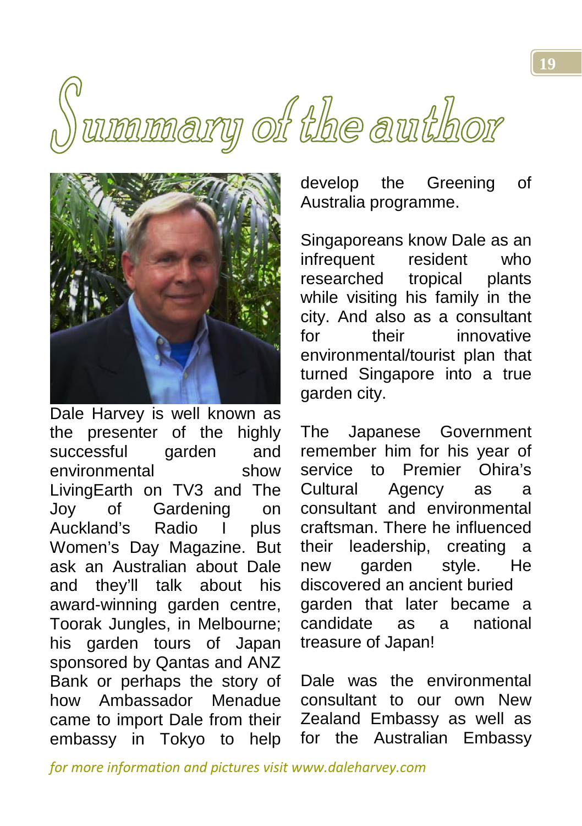# ummary of the author



Dale Harvey is well known as the presenter of the highly successful garden and environmental show LivingEarth on TV3 and The Joy of Gardening on<br>Auckland's Radio I plus Auckland's Radio I plus Women's Day Magazine. But ask an Australian about Dale and they'll talk about his award-winning garden centre, Toorak Jungles, in Melbourne; his garden tours of Japan sponsored by Qantas and ANZ Bank or perhaps the story of how Ambassador Menadue came to import Dale from their embassy in Tokyo to help develop the Greening of Australia programme.

Singaporeans know Dale as an infrequent resident who researched tropical plants while visiting his family in the city. And also as a consultant for their innovative environmental/tourist plan that turned Singapore into a true garden city.

The Japanese Government remember him for his year of service to Premier Ohira's Cultural Agency as a consultant and environmental craftsman. There he influenced their leadership, creating a new garden style. He discovered an ancient buried garden that later became a candidate as a national treasure of Japan!

Dale was the environmental consultant to our own New Zealand Embassy as well as for the Australian Embassy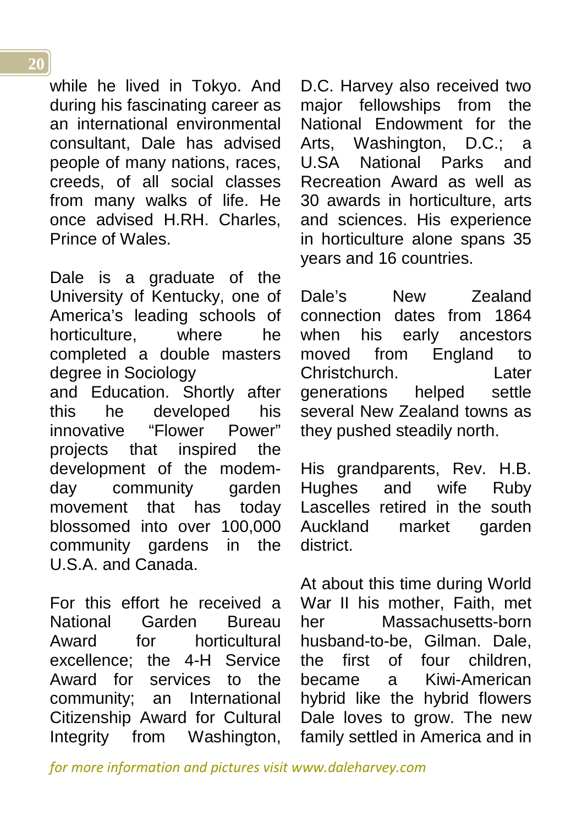while he lived in Tokyo. And during his fascinating career as an international environmental consultant, Dale has advised people of many nations, races, creeds, of all social classes from many walks of life. He once advised H.RH. Charles, Prince of Wales.

Dale is a graduate of the University of Kentucky, one of America's leading schools of horticulture, where he completed a double masters degree in Sociology

and Education. Shortly after this he developed his innovative "Flower Power" projects that inspired the development of the modemday community garden movement that has today blossomed into over 100,000 community gardens in the U.S.A. and Canada.

For this effort he received a National Garden Bureau Award for horticultural excellence; the 4-H Service Award for services to the community; an International Citizenship Award for Cultural Integrity from Washington, D.C. Harvey also received two major fellowships from the National Endowment for the Arts, Washington, D.C.; a U.SA National Parks and Recreation Award as well as 30 awards in horticulture, arts and sciences. His experience in horticulture alone spans 35 years and 16 countries.

Dale's New Zealand connection dates from 1864 when his early ancestors moved from England to Christchurch. Later generations helped settle several New Zealand towns as they pushed steadily north.

His grandparents, Rev. H.B. Hughes and wife Ruby Lascelles retired in the south Auckland market garden district.

At about this time during World War II his mother, Faith, met her Massachusetts-born husband-to-be, Gilman. Dale, the first of four children, became a Kiwi-American hybrid like the hybrid flowers Dale loves to grow. The new family settled in America and in